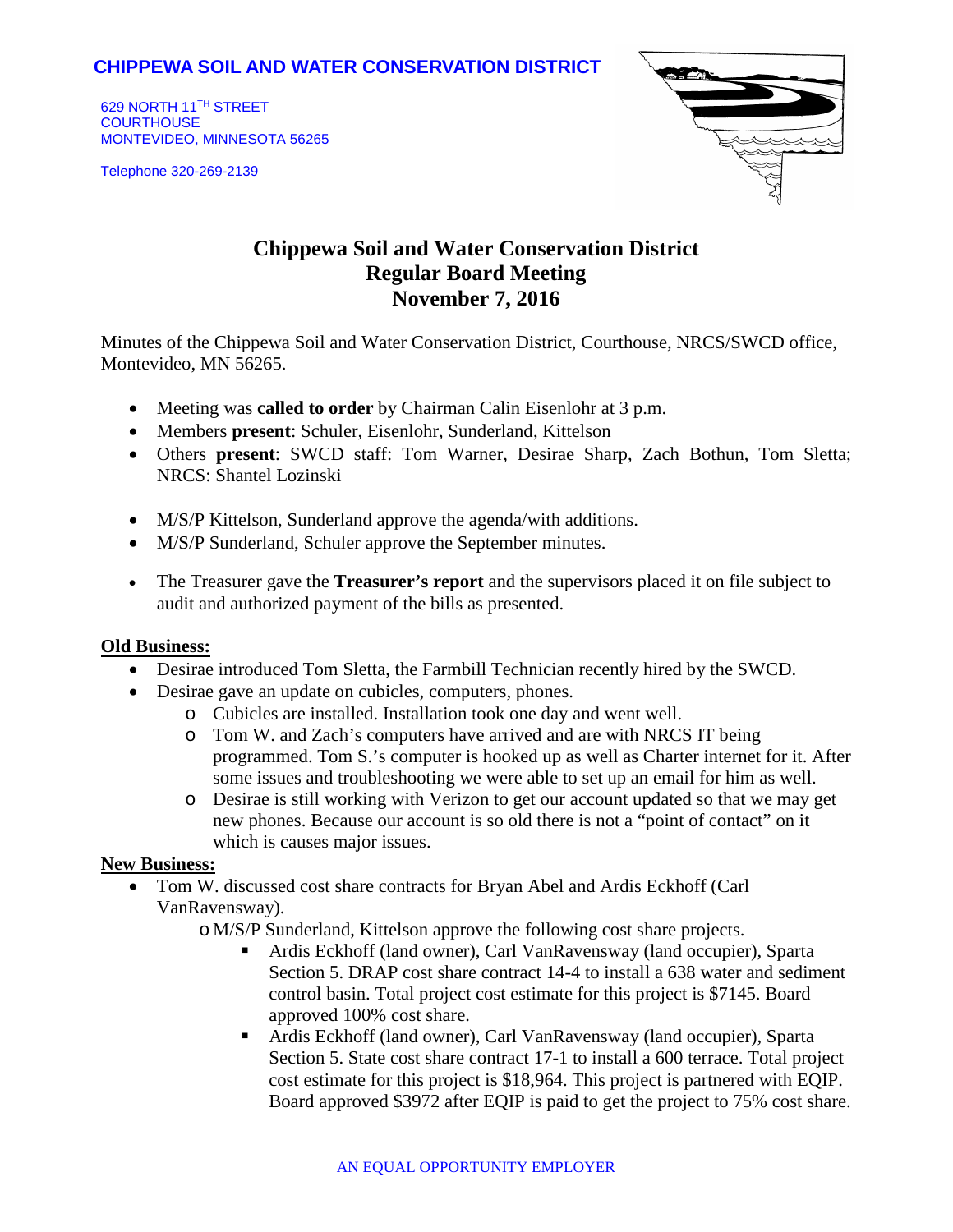## **CHIPPEWA SOIL AND WATER CONSERVATION DISTRICT**

629 NORTH 11TH STREET **COURTHOUSE** MONTEVIDEO, MINNESOTA 56265

Telephone 320-269-2139



# **Chippewa Soil and Water Conservation District Regular Board Meeting November 7, 2016**

Minutes of the Chippewa Soil and Water Conservation District, Courthouse, NRCS/SWCD office, Montevideo, MN 56265.

- Meeting was **called to order** by Chairman Calin Eisenlohr at 3 p.m.
- Members **present**: Schuler, Eisenlohr, Sunderland, Kittelson
- Others **present**: SWCD staff: Tom Warner, Desirae Sharp, Zach Bothun, Tom Sletta; NRCS: Shantel Lozinski
- M/S/P Kittelson, Sunderland approve the agenda/with additions.
- M/S/P Sunderland, Schuler approve the September minutes.
- The Treasurer gave the **Treasurer's report** and the supervisors placed it on file subject to audit and authorized payment of the bills as presented.

#### **Old Business:**

- Desirae introduced Tom Sletta, the Farmbill Technician recently hired by the SWCD.
- Desirae gave an update on cubicles, computers, phones.
	- o Cubicles are installed. Installation took one day and went well.
	- o Tom W. and Zach's computers have arrived and are with NRCS IT being programmed. Tom S.'s computer is hooked up as well as Charter internet for it. After some issues and troubleshooting we were able to set up an email for him as well.
	- o Desirae is still working with Verizon to get our account updated so that we may get new phones. Because our account is so old there is not a "point of contact" on it which is causes major issues.

#### **New Business:**

- Tom W. discussed cost share contracts for Bryan Abel and Ardis Eckhoff (Carl VanRavensway).
	- o M/S/P Sunderland, Kittelson approve the following cost share projects.
		- Ardis Eckhoff (land owner), Carl VanRavensway (land occupier), Sparta Section 5. DRAP cost share contract 14-4 to install a 638 water and sediment control basin. Total project cost estimate for this project is \$7145. Board approved 100% cost share.
		- Ardis Eckhoff (land owner), Carl VanRavensway (land occupier), Sparta Section 5. State cost share contract 17-1 to install a 600 terrace. Total project cost estimate for this project is \$18,964. This project is partnered with EQIP. Board approved \$3972 after EQIP is paid to get the project to 75% cost share.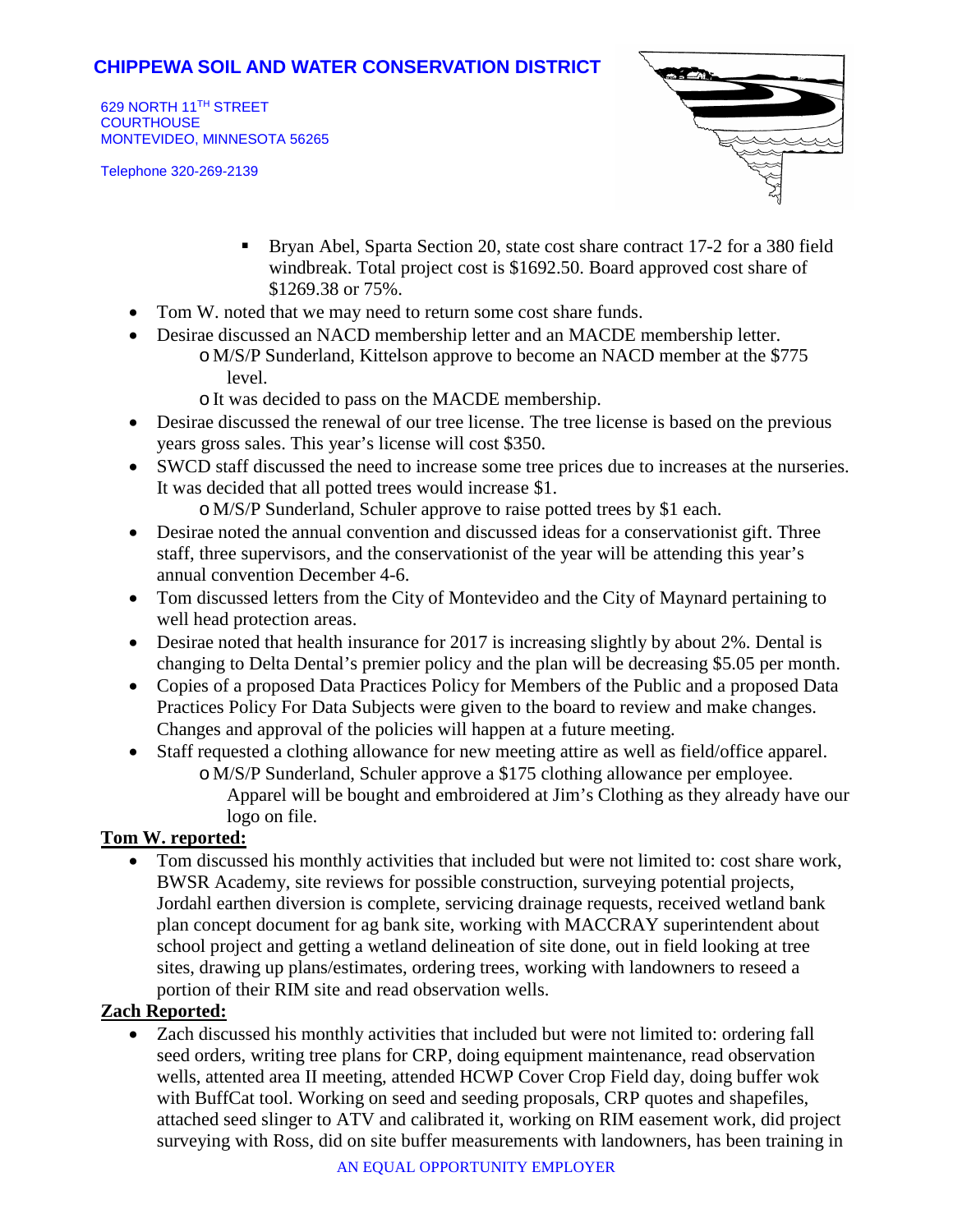## **CHIPPEWA SOIL AND WATER CONSERVATION DISTRICT**

629 NORTH 11TH STREET **COURTHOUSE** MONTEVIDEO, MINNESOTA 56265

Telephone 320-269-2139



- Bryan Abel, Sparta Section 20, state cost share contract 17-2 for a 380 field windbreak. Total project cost is \$1692.50. Board approved cost share of \$1269.38 or 75%.
- Tom W. noted that we may need to return some cost share funds.
- Desirae discussed an NACD membership letter and an MACDE membership letter.
	- o M/S/P Sunderland, Kittelson approve to become an NACD member at the \$775 level.
	- o It was decided to pass on the MACDE membership.
- Desirae discussed the renewal of our tree license. The tree license is based on the previous years gross sales. This year's license will cost \$350.
- SWCD staff discussed the need to increase some tree prices due to increases at the nurseries. It was decided that all potted trees would increase \$1.
	- o M/S/P Sunderland, Schuler approve to raise potted trees by \$1 each.
- Desirae noted the annual convention and discussed ideas for a conservationist gift. Three staff, three supervisors, and the conservationist of the year will be attending this year's annual convention December 4-6.
- Tom discussed letters from the City of Montevideo and the City of Maynard pertaining to well head protection areas.
- Desirae noted that health insurance for 2017 is increasing slightly by about 2%. Dental is changing to Delta Dental's premier policy and the plan will be decreasing \$5.05 per month.
- Copies of a proposed Data Practices Policy for Members of the Public and a proposed Data Practices Policy For Data Subjects were given to the board to review and make changes. Changes and approval of the policies will happen at a future meeting.
- Staff requested a clothing allowance for new meeting attire as well as field/office apparel. o M/S/P Sunderland, Schuler approve a \$175 clothing allowance per employee. Apparel will be bought and embroidered at Jim's Clothing as they already have our logo on file.

## **Tom W. reported:**

• Tom discussed his monthly activities that included but were not limited to: cost share work, BWSR Academy, site reviews for possible construction, surveying potential projects, Jordahl earthen diversion is complete, servicing drainage requests, received wetland bank plan concept document for ag bank site, working with MACCRAY superintendent about school project and getting a wetland delineation of site done, out in field looking at tree sites, drawing up plans/estimates, ordering trees, working with landowners to reseed a portion of their RIM site and read observation wells.

## **Zach Reported:**

• Zach discussed his monthly activities that included but were not limited to: ordering fall seed orders, writing tree plans for CRP, doing equipment maintenance, read observation wells, attented area II meeting, attended HCWP Cover Crop Field day, doing buffer wok with BuffCat tool. Working on seed and seeding proposals, CRP quotes and shapefiles, attached seed slinger to ATV and calibrated it, working on RIM easement work, did project surveying with Ross, did on site buffer measurements with landowners, has been training in